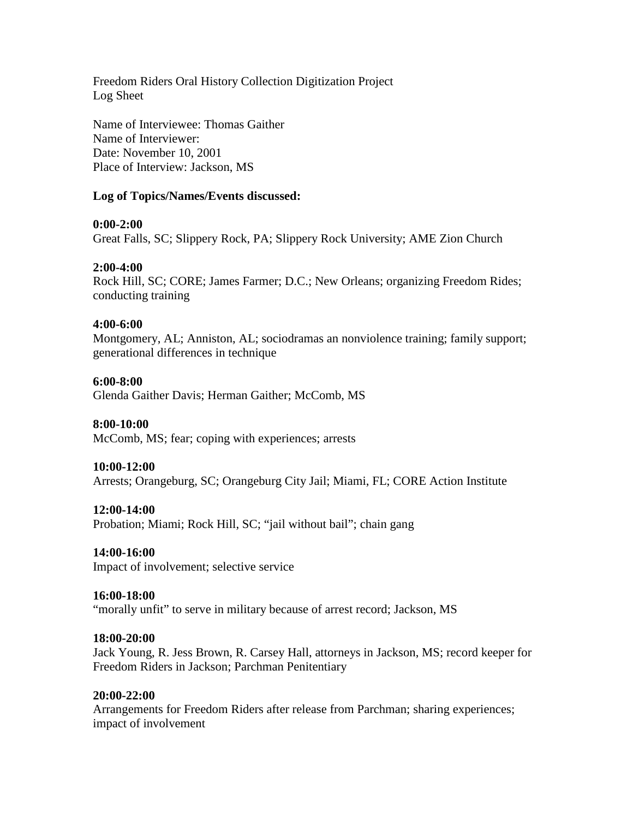Freedom Riders Oral History Collection Digitization Project Log Sheet

Name of Interviewee: Thomas Gaither Name of Interviewer: Date: November 10, 2001 Place of Interview: Jackson, MS

## **Log of Topics/Names/Events discussed:**

## **0:00-2:00**

Great Falls, SC; Slippery Rock, PA; Slippery Rock University; AME Zion Church

## **2:00-4:00**

Rock Hill, SC; CORE; James Farmer; D.C.; New Orleans; organizing Freedom Rides; conducting training

## **4:00-6:00**

Montgomery, AL; Anniston, AL; sociodramas an nonviolence training; family support; generational differences in technique

## **6:00-8:00**

Glenda Gaither Davis; Herman Gaither; McComb, MS

#### **8:00-10:00**

McComb, MS; fear; coping with experiences; arrests

#### **10:00-12:00**

Arrests; Orangeburg, SC; Orangeburg City Jail; Miami, FL; CORE Action Institute

#### **12:00-14:00**

Probation; Miami; Rock Hill, SC; "jail without bail"; chain gang

## **14:00-16:00**

Impact of involvement; selective service

#### **16:00-18:00**

"morally unfit" to serve in military because of arrest record; Jackson, MS

#### **18:00-20:00**

Jack Young, R. Jess Brown, R. Carsey Hall, attorneys in Jackson, MS; record keeper for Freedom Riders in Jackson; Parchman Penitentiary

#### **20:00-22:00**

Arrangements for Freedom Riders after release from Parchman; sharing experiences; impact of involvement